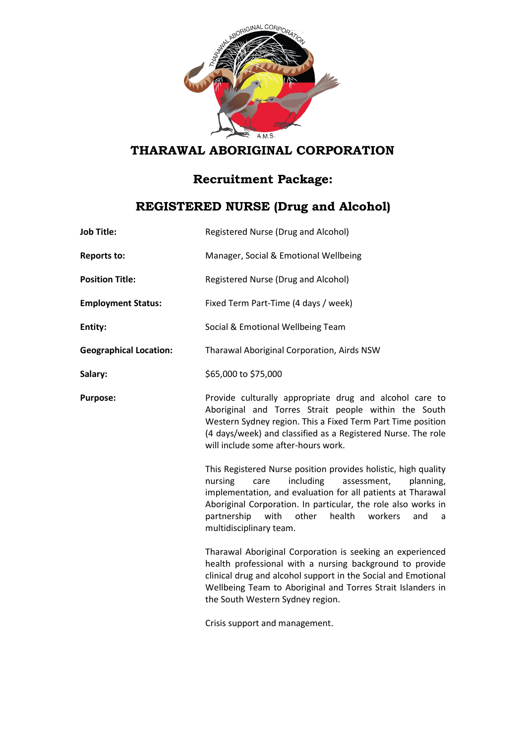

## **THARAWAL ABORIGINAL CORPORATION**

## **Recruitment Package:**

## **REGISTERED NURSE (Drug and Alcohol)**

| <b>Job Title:</b>             | Registered Nurse (Drug and Alcohol)                                                                                                                                                                                                                                                                                                                    |
|-------------------------------|--------------------------------------------------------------------------------------------------------------------------------------------------------------------------------------------------------------------------------------------------------------------------------------------------------------------------------------------------------|
| <b>Reports to:</b>            | Manager, Social & Emotional Wellbeing                                                                                                                                                                                                                                                                                                                  |
| <b>Position Title:</b>        | Registered Nurse (Drug and Alcohol)                                                                                                                                                                                                                                                                                                                    |
| <b>Employment Status:</b>     | Fixed Term Part-Time (4 days / week)                                                                                                                                                                                                                                                                                                                   |
| Entity:                       | Social & Emotional Wellbeing Team                                                                                                                                                                                                                                                                                                                      |
| <b>Geographical Location:</b> | Tharawal Aboriginal Corporation, Airds NSW                                                                                                                                                                                                                                                                                                             |
| Salary:                       | \$65,000 to \$75,000                                                                                                                                                                                                                                                                                                                                   |
| <b>Purpose:</b>               | Provide culturally appropriate drug and alcohol care to<br>Aboriginal and Torres Strait people within the South<br>Western Sydney region. This a Fixed Term Part Time position<br>(4 days/week) and classified as a Registered Nurse. The role<br>will include some after-hours work.                                                                  |
|                               | This Registered Nurse position provides holistic, high quality<br>including<br>assessment,<br>nursing<br>care<br>planning,<br>implementation, and evaluation for all patients at Tharawal<br>Aboriginal Corporation. In particular, the role also works in<br>partnership<br>with<br>other<br>health<br>workers<br>and<br>a<br>multidisciplinary team. |
|                               | Tharawal Aboriginal Corporation is seeking an experienced<br>health professional with a nursing background to provide<br>clinical drug and alcohol support in the Social and Emotional<br>Wellbeing Team to Aboriginal and Torres Strait Islanders in<br>the South Western Sydney region.                                                              |
|                               | Crisis support and management.                                                                                                                                                                                                                                                                                                                         |